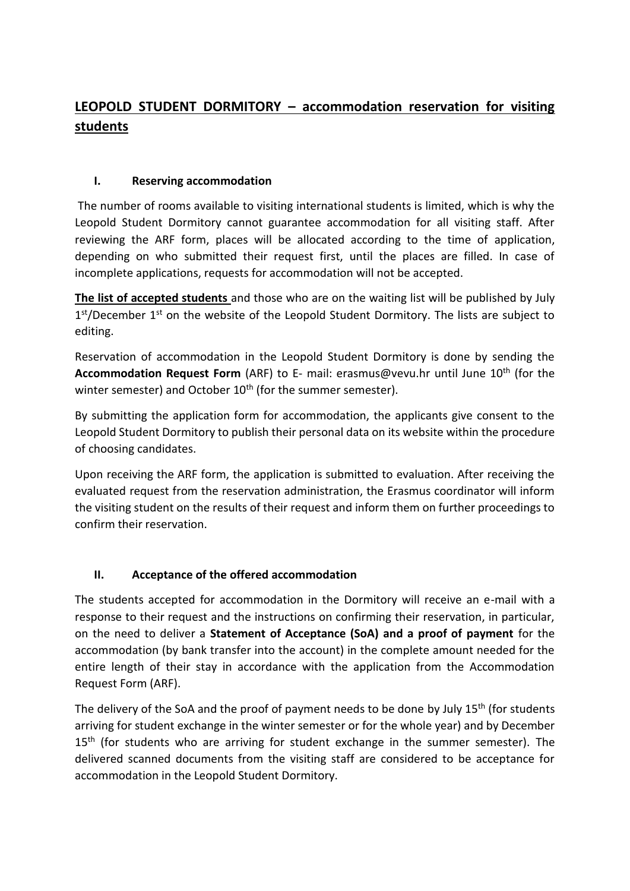# **LEOPOLD STUDENT DORMITORY – accommodation reservation for visiting students**

#### **I. Reserving accommodation**

The number of rooms available to visiting international students is limited, which is why the Leopold Student Dormitory cannot guarantee accommodation for all visiting staff. After reviewing the ARF form, places will be allocated according to the time of application, depending on who submitted their request first, until the places are filled. In case of incomplete applications, requests for accommodation will not be accepted.

**The list of accepted students** and those who are on the waiting list will be published by July 1<sup>st</sup>/December 1<sup>st</sup> on the website of the Leopold Student Dormitory. The lists are subject to editing.

Reservation of accommodation in the Leopold Student Dormitory is done by sending the **Accommodation Request Form** (ARF) to E- mail: erasmus@vevu.hr until June 10<sup>th</sup> (for the winter semester) and October 10<sup>th</sup> (for the summer semester).

By submitting the application form for accommodation, the applicants give consent to the Leopold Student Dormitory to publish their personal data on its website within the procedure of choosing candidates.

Upon receiving the ARF form, the application is submitted to evaluation. After receiving the evaluated request from the reservation administration, the Erasmus coordinator will inform the visiting student on the results of their request and inform them on further proceedings to confirm their reservation.

## **II. Acceptance of the offered accommodation**

The students accepted for accommodation in the Dormitory will receive an e-mail with a response to their request and the instructions on confirming their reservation, in particular, on the need to deliver a **Statement of Acceptance (SoA) and a proof of payment** for the accommodation (by bank transfer into the account) in the complete amount needed for the entire length of their stay in accordance with the application from the Accommodation Request Form (ARF).

The delivery of the SoA and the proof of payment needs to be done by July 15<sup>th</sup> (for students arriving for student exchange in the winter semester or for the whole year) and by December  $15<sup>th</sup>$  (for students who are arriving for student exchange in the summer semester). The delivered scanned documents from the visiting staff are considered to be acceptance for accommodation in the Leopold Student Dormitory.